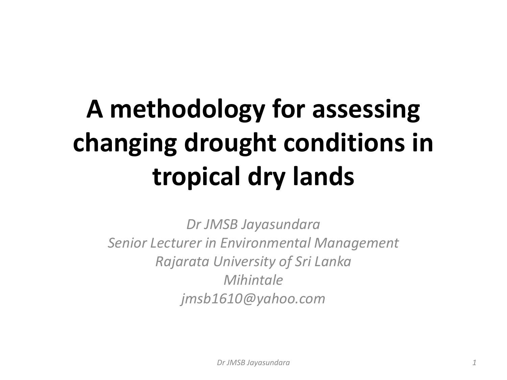### **A methodology for assessing changing drought conditions in tropical dry lands**

*Dr JMSB Jayasundara Senior Lecturer in Environmental Management Rajarata University of Sri Lanka Mihintale jmsb1610@yahoo.com*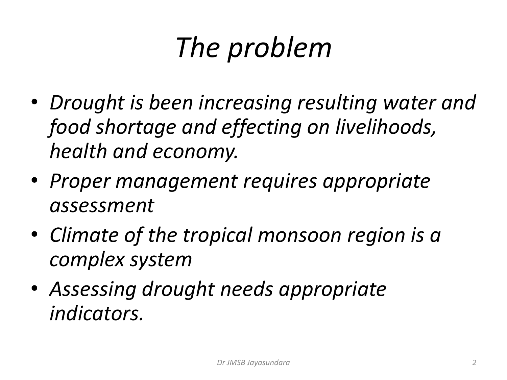# *The problem*

- *Drought is been increasing resulting water and food shortage and effecting on livelihoods, health and economy.*
- *Proper management requires appropriate assessment*
- *Climate of the tropical monsoon region is a complex system*
- *Assessing drought needs appropriate indicators.*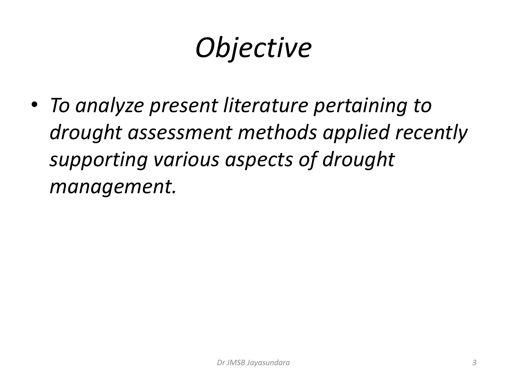# *Objective*

• *To analyze present literature pertaining to drought assessment methods applied recently supporting various aspects of drought management.*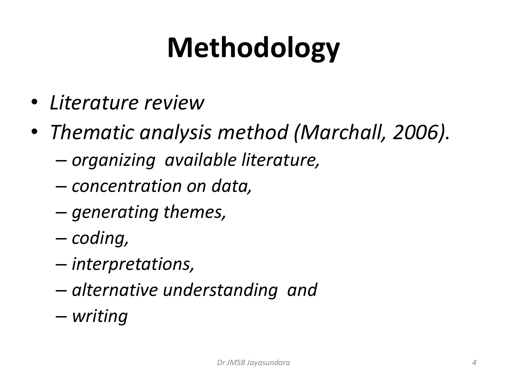# **Methodology**

- *Literature review*
- *Thematic analysis method (Marchall, 2006).* 
	- *organizing available literature,*
	- *concentration on data,*
	- *generating themes,*
	- *coding,*
	- *interpretations,*
	- *alternative understanding and*
	- *writing*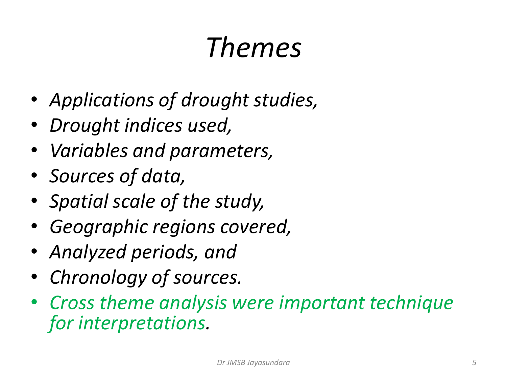### *Themes*

- *Applications of drought studies,*
- *Drought indices used,*
- *Variables and parameters,*
- *Sources of data,*
- *Spatial scale of the study,*
- *Geographic regions covered,*
- *Analyzed periods, and*
- *Chronology of sources.*
- *Cross theme analysis were important technique for interpretations.*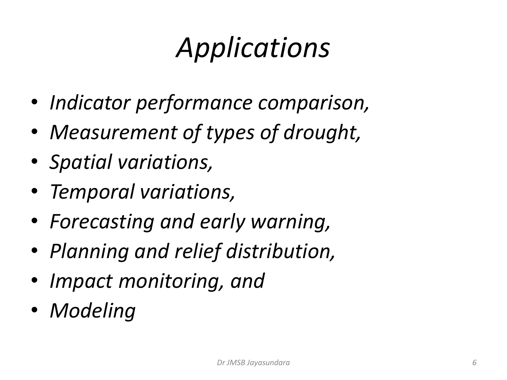# *Applications*

- *Indicator performance comparison,*
- *Measurement of types of drought,*
- *Spatial variations,*
- *Temporal variations,*
- *Forecasting and early warning,*
- *Planning and relief distribution,*
- *Impact monitoring, and*
- *Modeling*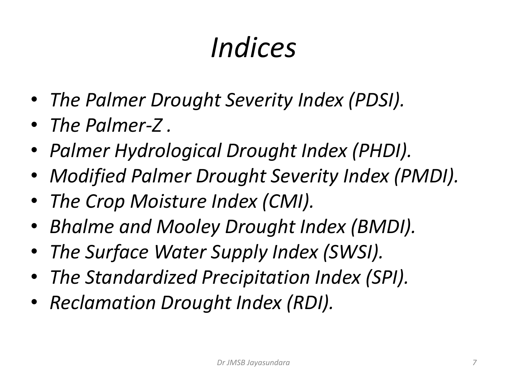# *Indices*

- *The Palmer Drought Severity Index (PDSI).*
- *The Palmer-Z .*
- *Palmer Hydrological Drought Index (PHDI).*
- *Modified Palmer Drought Severity Index (PMDI).*
- *The Crop Moisture Index (CMI).*
- *Bhalme and Mooley Drought Index (BMDI).*
- *The Surface Water Supply Index (SWSI).*
- *The Standardized Precipitation Index (SPI).*
- *Reclamation Drought Index (RDI).*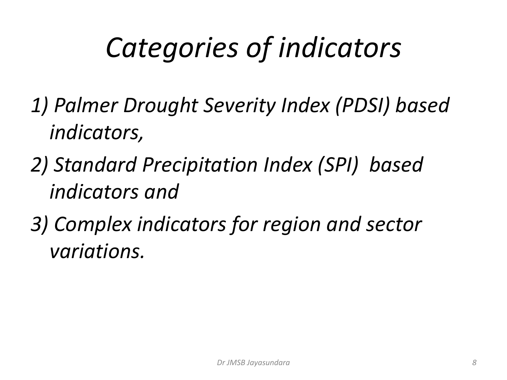# *Categories of indicators*

- *1) Palmer Drought Severity Index (PDSI) based indicators,*
- *2) Standard Precipitation Index (SPI) based indicators and*
- *3) Complex indicators for region and sector variations.*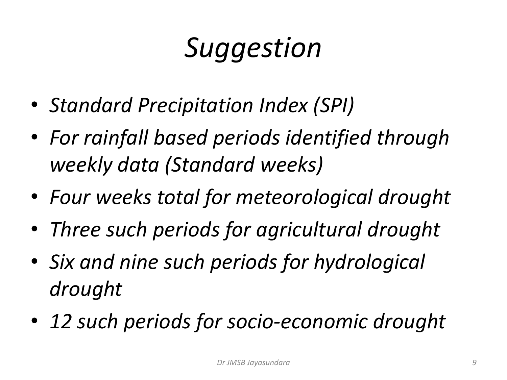# *Suggestion*

- *Standard Precipitation Index (SPI)*
- *For rainfall based periods identified through weekly data (Standard weeks)*
- *Four weeks total for meteorological drought*
- *Three such periods for agricultural drought*
- *Six and nine such periods for hydrological drought*
- *12 such periods for socio-economic drought*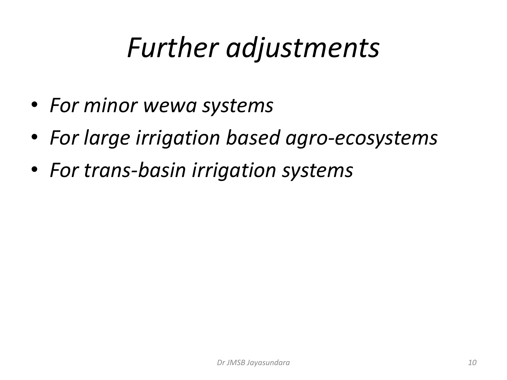#### *Further adjustments*

- *For minor wewa systems*
- *For large irrigation based agro-ecosystems*
- *For trans-basin irrigation systems*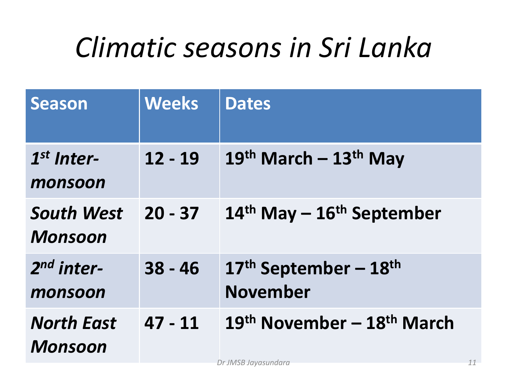#### *Climatic seasons in Sri Lanka*

| <b>Season</b>                       | <b>Weeks</b> | <b>Dates</b>                                       |
|-------------------------------------|--------------|----------------------------------------------------|
| $1st$ Inter-<br>monsoon             | $12 - 19$    | $19th$ March - $13th$ May                          |
| <b>South West</b><br><b>Monsoon</b> | $20 - 37$    | $14th$ May – $16th$ September                      |
| $2nd$ inter-<br>monsoon             | $38 - 46$    | $17th$ September – $18th$<br><b>November</b>       |
| <b>North East</b><br><b>Monsoon</b> | $47 - 11$    | 19 <sup>th</sup> November – 18 <sup>th</sup> March |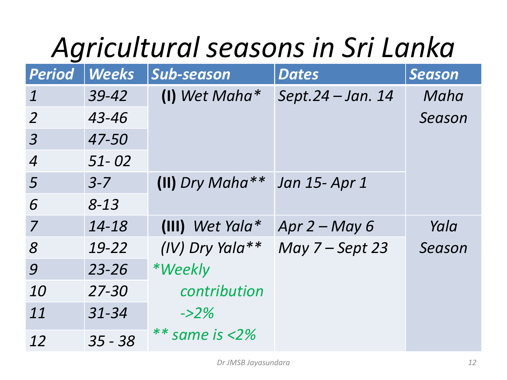# *Agricultural seasons in Sri Lanka*

| <b>Period</b>    | <b>Weeks</b> | Sub-season         | <b>Dates</b>      | <b>Season</b> |
|------------------|--------------|--------------------|-------------------|---------------|
| $\overline{1}$   | 39-42        | $(1)$ Wet Maha*    | Sept.24 - Jan. 14 | Maha          |
| 2                | 43-46        |                    |                   | Season        |
| $\overline{3}$   | 47-50        |                    |                   |               |
| $\boldsymbol{4}$ | $51 - 02$    |                    |                   |               |
| $\overline{5}$   | $3 - 7$      | (II) Dry Maha $**$ | Jan 15- Apr 1     |               |
| 6                | $8 - 13$     |                    |                   |               |
| $\overline{7}$   | 14-18        | $(III)$ Wet Yala*  | Apr $2 - May 6$   | Yala          |
| 8 <sup>°</sup>   | 19-22        | $(IV)$ Dry Yala**  | May $7 -$ Sept 23 | Season        |
| 9                | $23 - 26$    | *Weekly            |                   |               |
| 10               | $27 - 30$    | contribution       |                   |               |
| 11               | $31 - 34$    | $-22\%$            |                   |               |
| 12               | $35 - 38$    | $**$ same is <2%   |                   |               |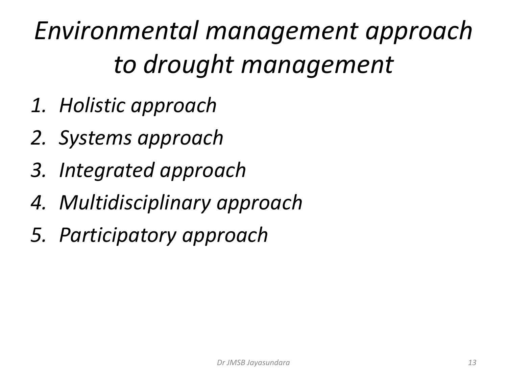*Environmental management approach to drought management*

- *1. Holistic approach*
- *2. Systems approach*
- *3. Integrated approach*
- *4. Multidisciplinary approach*
- *5. Participatory approach*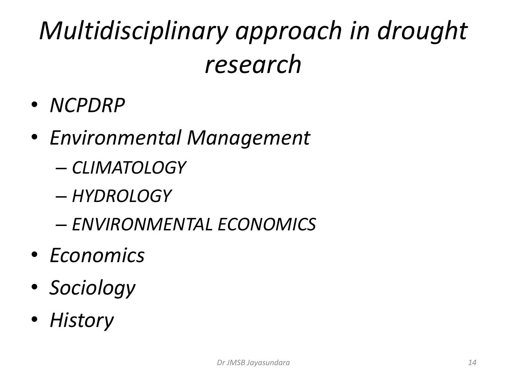#### *Multidisciplinary approach in drought research*

- *NCPDRP*
- *Environmental Management*
	- *CLIMATOLOGY*
	- *HYDROLOGY*
	- *ENVIRONMENTAL ECONOMICS*
- *Economics*
- *Sociology*
- *History*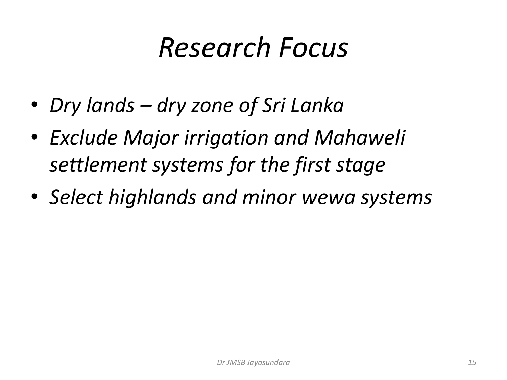#### *Research Focus*

- *Dry lands – dry zone of Sri Lanka*
- *Exclude Major irrigation and Mahaweli settlement systems for the first stage*
- *Select highlands and minor wewa systems*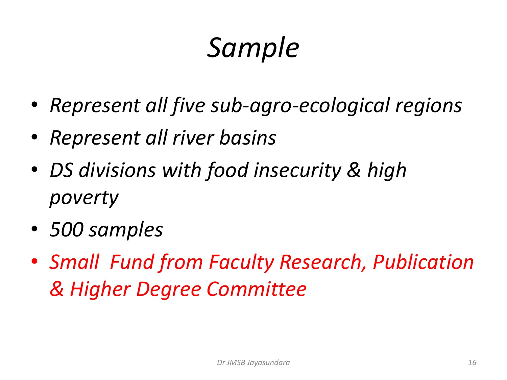# *Sample*

- *Represent all five sub-agro-ecological regions*
- *Represent all river basins*
- *DS divisions with food insecurity & high poverty*
- *500 samples*
- *Small Fund from Faculty Research, Publication & Higher Degree Committee*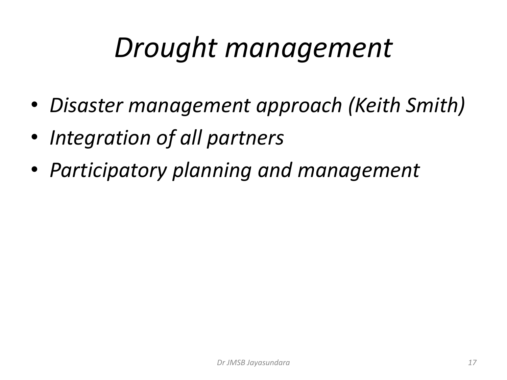#### *Drought management*

- *Disaster management approach (Keith Smith)*
- *Integration of all partners*
- *Participatory planning and management*